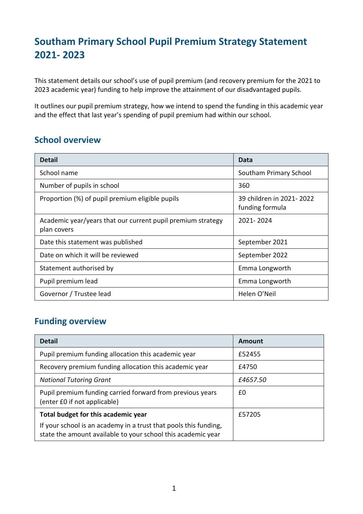# **Southam Primary School Pupil Premium Strategy Statement 2021- 2023**

This statement details our school's use of pupil premium (and recovery premium for the 2021 to 2023 academic year) funding to help improve the attainment of our disadvantaged pupils.

It outlines our pupil premium strategy, how we intend to spend the funding in this academic year and the effect that last year's spending of pupil premium had within our school.

### **School overview**

| <b>Detail</b>                                                                                  | Data                   |  |
|------------------------------------------------------------------------------------------------|------------------------|--|
| School name                                                                                    | Southam Primary School |  |
| Number of pupils in school                                                                     | 360                    |  |
| 39 children in 2021-2022<br>Proportion (%) of pupil premium eligible pupils<br>funding formula |                        |  |
| Academic year/years that our current pupil premium strategy<br>plan covers                     | 2021-2024              |  |
| Date this statement was published                                                              | September 2021         |  |
| Date on which it will be reviewed                                                              | September 2022         |  |
| Statement authorised by                                                                        | Emma Longworth         |  |
| Pupil premium lead                                                                             | Emma Longworth         |  |
| Governor / Trustee lead                                                                        | Helen O'Neil           |  |

## **Funding overview**

| <b>Detail</b>                                                                                                                    | Amount |
|----------------------------------------------------------------------------------------------------------------------------------|--------|
| Pupil premium funding allocation this academic year                                                                              | £52455 |
| Recovery premium funding allocation this academic year                                                                           | £4750  |
| <b>National Tutoring Grant</b><br>£4657.50                                                                                       |        |
| Pupil premium funding carried forward from previous years<br>(enter £0 if not applicable)                                        | £0     |
| Total budget for this academic year                                                                                              | £57205 |
| If your school is an academy in a trust that pools this funding,<br>state the amount available to your school this academic year |        |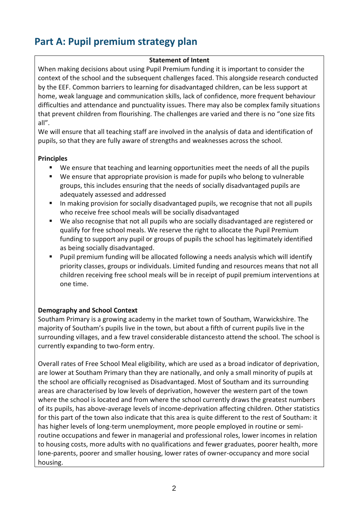# **Part A: Pupil premium strategy plan**

### **Statement of Intent**

When making decisions about using Pupil Premium funding it is important to consider the context of the school and the subsequent challenges faced. This alongside research conducted by the EEF. Common barriers to learning for disadvantaged children, can be less support at home, weak language and communication skills, lack of confidence, more frequent behaviour difficulties and attendance and punctuality issues. There may also be complex family situations that prevent children from flourishing. The challenges are varied and there is no "one size fits all".

We will ensure that all teaching staff are involved in the analysis of data and identification of pupils, so that they are fully aware of strengths and weaknesses across the school.

### **Principles**

- We ensure that teaching and learning opportunities meet the needs of all the pupils
- We ensure that appropriate provision is made for pupils who belong to vulnerable groups, this includes ensuring that the needs of socially disadvantaged pupils are adequately assessed and addressed
- In making provision for socially disadvantaged pupils, we recognise that not all pupils who receive free school meals will be socially disadvantaged
- We also recognise that not all pupils who are socially disadvantaged are registered or qualify for free school meals. We reserve the right to allocate the Pupil Premium funding to support any pupil or groups of pupils the school has legitimately identified as being socially disadvantaged.
- Pupil premium funding will be allocated following a needs analysis which will identify priority classes, groups or individuals. Limited funding and resources means that not all children receiving free school meals will be in receipt of pupil premium interventions at one time.

### **Demography and School Context**

Southam Primary is a growing academy in the market town of Southam, Warwickshire. The majority of Southam's pupils live in the town, but about a fifth of current pupils live in the surrounding villages, and a few travel considerable distancesto attend the school. The school is currently expanding to two-form entry.

Overall rates of Free School Meal eligibility, which are used as a broad indicator of deprivation, are lower at Southam Primary than they are nationally, and only a small minority of pupils at the school are officially recognised as Disadvantaged. Most of Southam and its surrounding areas are characterised by low levels of deprivation, however the western part of the town where the school is located and from where the school currently draws the greatest numbers of its pupils, has above-average levels of income-deprivation affecting children. Other statistics for this part of the town also indicate that this area is quite different to the rest of Southam: it has higher levels of long-term unemployment, more people employed in routine or semiroutine occupations and fewer in managerial and professional roles, lower incomes in relation to housing costs, more adults with no qualifications and fewer graduates, poorer health, more lone-parents, poorer and smaller housing, lower rates of owner-occupancy and more social housing.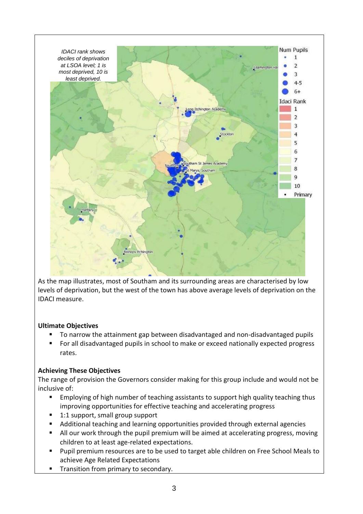

As the map illustrates, most of Southam and its surrounding areas are characterised by low levels of deprivation, but the west of the town has above average levels of deprivation on the IDACI measure.

### **Ultimate Objectives**

- To narrow the attainment gap between disadvantaged and non-disadvantaged pupils
- For all disadvantaged pupils in school to make or exceed nationally expected progress rates.

### **Achieving These Objectives**

The range of provision the Governors consider making for this group include and would not be inclusive of:

- Employing of high number of teaching assistants to support high quality teaching thus improving opportunities for effective teaching and accelerating progress
- 1:1 support, small group support
- Additional teaching and learning opportunities provided through external agencies
- All our work through the pupil premium will be aimed at accelerating progress, moving children to at least age-related expectations.
- Pupil premium resources are to be used to target able children on Free School Meals to achieve Age Related Expectations
- Transition from primary to secondary.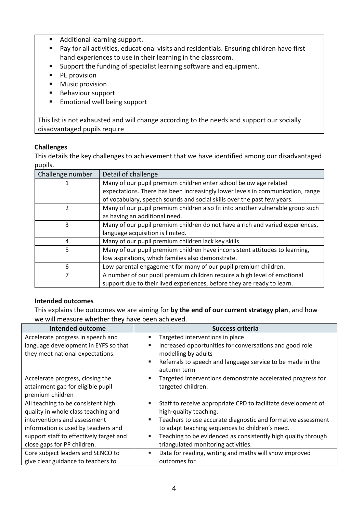- Additional learning support.
- Pay for all activities, educational visits and residentials. Ensuring children have firsthand experiences to use in their learning in the classroom.
- Support the funding of specialist learning software and equipment.
- PE provision
- Music provision
- Behaviour support
- Emotional well being support

This list is not exhausted and will change according to the needs and support our socially disadvantaged pupils require

#### **Challenges**

This details the key challenges to achievement that we have identified among our disadvantaged pupils.

| Challenge number | Detail of challenge                                                            |
|------------------|--------------------------------------------------------------------------------|
|                  | Many of our pupil premium children enter school below age related              |
|                  | expectations. There has been increasingly lower levels in communication, range |
|                  | of vocabulary, speech sounds and social skills over the past few years.        |
| $\mathfrak{p}$   | Many of our pupil premium children also fit into another vulnerable group such |
|                  | as having an additional need.                                                  |
| 3                | Many of our pupil premium children do not have a rich and varied experiences,  |
|                  | language acquisition is limited.                                               |
| 4                | Many of our pupil premium children lack key skills                             |
| 5                | Many of our pupil premium children have inconsistent attitudes to learning,    |
|                  | low aspirations, which families also demonstrate.                              |
| 6                | Low parental engagement for many of our pupil premium children.                |
| 7                | A number of our pupil premium children require a high level of emotional       |
|                  | support due to their lived experiences, before they are ready to learn.        |

#### **Intended outcomes**

This explains the outcomes we are aiming for **by the end of our current strategy plan**, and how we will measure whether they have been achieved.

| <b>Intended outcome</b>                 | <b>Success criteria</b>                                            |
|-----------------------------------------|--------------------------------------------------------------------|
| Accelerate progress in speech and       | Targeted interventions in place<br>п                               |
| language development in EYFS so that    | Increased opportunities for conversations and good role<br>٠       |
| they meet national expectations.        | modelling by adults                                                |
|                                         | Referrals to speech and language service to be made in the<br>٠    |
|                                         | autumn term                                                        |
| Accelerate progress, closing the        | Targeted interventions demonstrate accelerated progress for<br>٠   |
| attainment gap for eligible pupil       | targeted children.                                                 |
| premium children                        |                                                                    |
| All teaching to be consistent high      | Staff to receive appropriate CPD to facilitate development of<br>п |
| quality in whole class teaching and     | high-quality teaching.                                             |
| interventions and assessment            | Teachers to use accurate diagnostic and formative assessment<br>٠  |
| information is used by teachers and     | to adapt teaching sequences to children's need.                    |
| support staff to effectively target and | Teaching to be evidenced as consistently high quality through      |
| close gaps for PP children.             | triangulated monitoring activities.                                |
| Core subject leaders and SENCO to       | Data for reading, writing and maths will show improved<br>٠        |
| give clear guidance to teachers to      | outcomes for                                                       |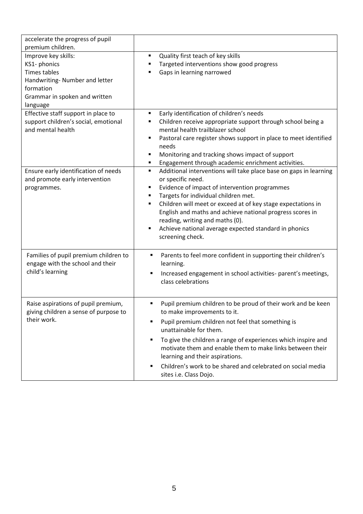| accelerate the progress of pupil<br>premium children.                                                                                                  |                                                                                                                                                                                                                                                                                                                                                                                                                                                          |
|--------------------------------------------------------------------------------------------------------------------------------------------------------|----------------------------------------------------------------------------------------------------------------------------------------------------------------------------------------------------------------------------------------------------------------------------------------------------------------------------------------------------------------------------------------------------------------------------------------------------------|
| Improve key skills:<br>KS1- phonics<br><b>Times tables</b><br>Handwriting- Number and letter<br>formation<br>Grammar in spoken and written<br>language | Quality first teach of key skills<br>٠<br>Targeted interventions show good progress<br>٠<br>Gaps in learning narrowed<br>п                                                                                                                                                                                                                                                                                                                               |
| Effective staff support in place to<br>support children's social, emotional<br>and mental health                                                       | Early identification of children's needs<br>٠<br>Children receive appropriate support through school being a<br>٠<br>mental health trailblazer school<br>Pastoral care register shows support in place to meet identified<br>٠<br>needs<br>Monitoring and tracking shows impact of support<br>٠<br>Engagement through academic enrichment activities.<br>٠                                                                                               |
| Ensure early identification of needs<br>and promote early intervention<br>programmes.                                                                  | Additional interventions will take place base on gaps in learning<br>٠<br>or specific need.<br>Evidence of impact of intervention programmes<br>٠<br>Targets for individual children met.<br>٠<br>Children will meet or exceed at of key stage expectations in<br>٠<br>English and maths and achieve national progress scores in<br>reading, writing and maths (0).<br>Achieve national average expected standard in phonics<br>٠<br>screening check.    |
| Families of pupil premium children to<br>engage with the school and their<br>child's learning                                                          | Parents to feel more confident in supporting their children's<br>٠<br>learning.<br>Increased engagement in school activities- parent's meetings,<br>٠<br>class celebrations                                                                                                                                                                                                                                                                              |
| Raise aspirations of pupil premium,<br>giving children a sense of purpose to<br>their work.                                                            | Pupil premium children to be proud of their work and be keen<br>٠<br>to make improvements to it.<br>Pupil premium children not feel that something is<br>٠<br>unattainable for them.<br>To give the children a range of experiences which inspire and<br>٠<br>motivate them and enable them to make links between their<br>learning and their aspirations.<br>Children's work to be shared and celebrated on social media<br>٠<br>sites i.e. Class Dojo. |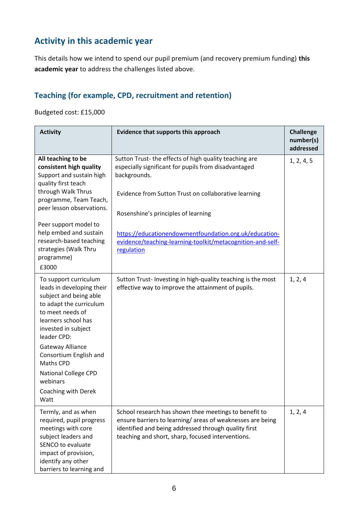## **Activity in this academic year**

This details how we intend to spend our pupil premium (and recovery premium funding) **this academic year** to address the challenges listed above.

## **Teaching (for example, CPD, recruitment and retention)**

Budgeted cost: £15,000

| <b>Activity</b>                                                                                                                                                                             | Evidence that supports this approach                                                                                                                                                                                            | <b>Challenge</b><br>number(s)<br>addressed |
|---------------------------------------------------------------------------------------------------------------------------------------------------------------------------------------------|---------------------------------------------------------------------------------------------------------------------------------------------------------------------------------------------------------------------------------|--------------------------------------------|
| All teaching to be<br>consistent high quality<br>Support and sustain high<br>quality first teach<br>through Walk Thrus<br>programme, Team Teach,<br>peer lesson observations.               | Sutton Trust-the effects of high quality teaching are<br>especially significant for pupils from disadvantaged<br>backgrounds.<br>Evidence from Sutton Trust on collaborative learning<br>Rosenshine's principles of learning    | 1, 2, 4, 5                                 |
| Peer support model to<br>help embed and sustain<br>research-based teaching<br>strategies (Walk Thru<br>programme)<br>£3000                                                                  | https://educationendowmentfoundation.org.uk/education-<br>evidence/teaching-learning-toolkit/metacognition-and-self-<br>regulation                                                                                              |                                            |
| To support curriculum<br>leads in developing their<br>subject and being able<br>to adapt the curriculum<br>to meet needs of<br>learners school has<br>invested in subject<br>leader CPD:    | Sutton Trust-Investing in high-quality teaching is the most<br>effective way to improve the attainment of pupils.                                                                                                               | 1, 2, 4                                    |
| Gateway Alliance<br>Consortium English and<br>Maths CPD                                                                                                                                     |                                                                                                                                                                                                                                 |                                            |
| <b>National College CPD</b><br>webinars<br>Coaching with Derek<br>Watt                                                                                                                      |                                                                                                                                                                                                                                 |                                            |
| Termly, and as when<br>required, pupil progress<br>meetings with core<br>subject leaders and<br>SENCO to evaluate<br>impact of provision,<br>identify any other<br>barriers to learning and | School research has shown thee meetings to benefit to<br>ensure barriers to learning/areas of weaknesses are being<br>identified and being addressed through quality first<br>teaching and short, sharp, focused interventions. | 1, 2, 4                                    |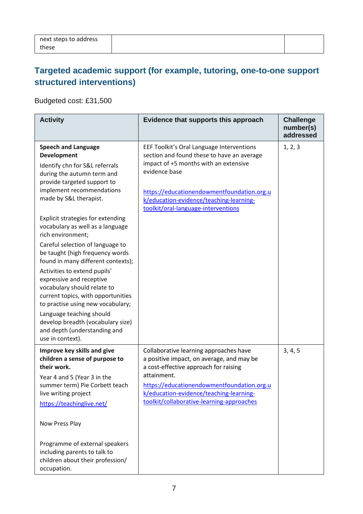## **Targeted academic support (for example, tutoring, one-to-one support structured interventions)**

Budgeted cost: £31,500

| <b>Activity</b>                                                                                                                                                                                                                                                                                                                                                                                                                                                                                           | Evidence that supports this approach                                                                                                                                                                                                                                              | <b>Challenge</b><br>number(s)<br>addressed |
|-----------------------------------------------------------------------------------------------------------------------------------------------------------------------------------------------------------------------------------------------------------------------------------------------------------------------------------------------------------------------------------------------------------------------------------------------------------------------------------------------------------|-----------------------------------------------------------------------------------------------------------------------------------------------------------------------------------------------------------------------------------------------------------------------------------|--------------------------------------------|
| <b>Speech and Language</b><br><b>Development</b><br>Identify chn for S&L referrals<br>during the autumn term and<br>provide targeted support to<br>implement recommendations<br>made by S&L therapist.                                                                                                                                                                                                                                                                                                    | EEF Toolkit's Oral Language Interventions<br>section and found these to have an average<br>impact of +5 months with an extensive<br>evidence base<br>https://educationendowmentfoundation.org.u<br>k/education-evidence/teaching-learning-<br>toolkit/oral-language-interventions | 1, 2, 3                                    |
| <b>Explicit strategies for extending</b><br>vocabulary as well as a language<br>rich environment;<br>Careful selection of language to<br>be taught (high frequency words<br>found in many different contexts);<br>Activities to extend pupils'<br>expressive and receptive<br>vocabulary should relate to<br>current topics, with opportunities<br>to practise using new vocabulary;<br>Language teaching should<br>develop breadth (vocabulary size)<br>and depth (understanding and<br>use in context). |                                                                                                                                                                                                                                                                                   |                                            |
| Improve key skills and give<br>children a sense of purpose to<br>their work.<br>Year 4 and 5 (Year 3 in the<br>summer term) Pie Corbett teach<br>live writing project<br>https://teachinglive.net/<br>Now Press Play<br>Programme of external speakers<br>including parents to talk to<br>children about their profession/<br>occupation.                                                                                                                                                                 | Collaborative learning approaches have<br>a positive impact, on average, and may be<br>a cost-effective approach for raising<br>attainment.<br>https://educationendowmentfoundation.org.u<br>k/education-evidence/teaching-learning-<br>toolkit/collaborative-learning-approaches | 3, 4, 5                                    |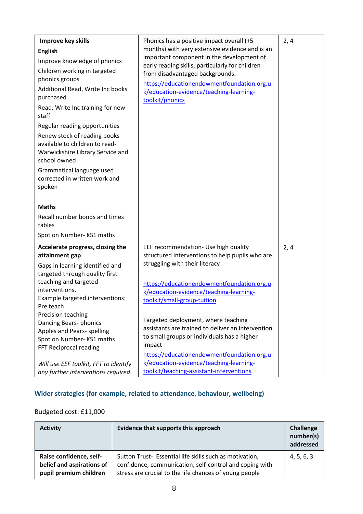| Improve key skills<br><b>English</b><br>Improve knowledge of phonics<br>Children working in targeted<br>phonics groups<br>Additional Read, Write Inc books<br>purchased<br>Read, Write Inc training for new<br>staff<br>Regular reading opportunities<br>Renew stock of reading books<br>available to children to read-<br>Warwickshire Library Service and<br>school owned<br>Grammatical language used<br>corrected in written work and<br>spoken<br><b>Maths</b><br>Recall number bonds and times<br>tables<br>Spot on Number-KS1 maths | Phonics has a positive impact overall (+5<br>months) with very extensive evidence and is an<br>important component in the development of<br>early reading skills, particularly for children<br>from disadvantaged backgrounds.<br>https://educationendowmentfoundation.org.u<br>k/education-evidence/teaching-learning-<br>toolkit/phonics                                                                                                                                                      | 2, 4 |
|--------------------------------------------------------------------------------------------------------------------------------------------------------------------------------------------------------------------------------------------------------------------------------------------------------------------------------------------------------------------------------------------------------------------------------------------------------------------------------------------------------------------------------------------|-------------------------------------------------------------------------------------------------------------------------------------------------------------------------------------------------------------------------------------------------------------------------------------------------------------------------------------------------------------------------------------------------------------------------------------------------------------------------------------------------|------|
| Accelerate progress, closing the<br>attainment gap<br>Gaps in learning identified and<br>targeted through quality first<br>teaching and targeted<br>interventions.<br>Example targeted interventions:<br>Pre teach<br>Precision teaching<br>Dancing Bears-phonics<br>Apples and Pears- spelling<br>Spot on Number-KS1 maths<br>FFT Reciprocal reading<br>Will use EEF toolkit, FFT to identify                                                                                                                                             | EEF recommendation- Use high quality<br>structured interventions to help pupils who are<br>struggling with their literacy<br>https://educationendowmentfoundation.org.u<br>k/education-evidence/teaching-learning-<br>toolkit/small-group-tuition<br>Targeted deployment, where teaching<br>assistants are trained to deliver an intervention<br>to small groups or individuals has a higher<br>impact<br>https://educationendowmentfoundation.org.u<br>k/education-evidence/teaching-learning- | 2, 4 |
| any further interventions required                                                                                                                                                                                                                                                                                                                                                                                                                                                                                                         | toolkit/teaching-assistant-interventions                                                                                                                                                                                                                                                                                                                                                                                                                                                        |      |

## **Wider strategies (for example, related to attendance, behaviour, wellbeing)**

### Budgeted cost: £11,000

| <b>Activity</b>                                                                | Evidence that supports this approach                                                                                                                                         | Challenge<br>number(s)<br>addressed |
|--------------------------------------------------------------------------------|------------------------------------------------------------------------------------------------------------------------------------------------------------------------------|-------------------------------------|
| Raise confidence, self-<br>belief and aspirations of<br>pupil premium children | Sutton Trust- Essential life skills such as motivation,<br>confidence, communication, self-control and coping with<br>stress are crucial to the life chances of young people | 4, 5, 6, 3                          |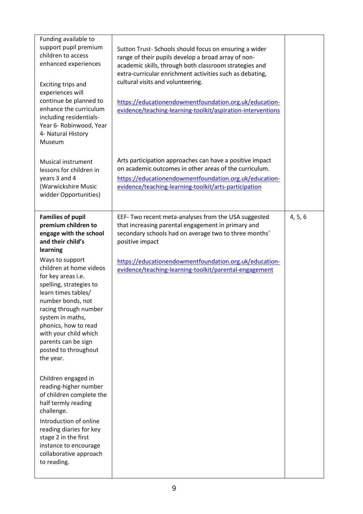| Funding available to<br>support pupil premium<br>children to access<br>enhanced experiences<br>Exciting trips and<br>experiences will<br>continue be planned to<br>enhance the curriculum<br>including residentials-<br>Year 6- Robinwood, Year<br>4- Natural History<br>Museum                                                                                                                                                                                                                                                                                                       | Sutton Trust-Schools should focus on ensuring a wider<br>range of their pupils develop a broad array of non-<br>academic skills, through both classroom strategies and<br>extra-curricular enrichment activities such as debating,<br>cultural visits and volunteering.<br>https://educationendowmentfoundation.org.uk/education-<br>evidence/teaching-learning-toolkit/aspiration-interventions |         |
|---------------------------------------------------------------------------------------------------------------------------------------------------------------------------------------------------------------------------------------------------------------------------------------------------------------------------------------------------------------------------------------------------------------------------------------------------------------------------------------------------------------------------------------------------------------------------------------|--------------------------------------------------------------------------------------------------------------------------------------------------------------------------------------------------------------------------------------------------------------------------------------------------------------------------------------------------------------------------------------------------|---------|
| Musical instrument<br>lessons for children in<br>years 3 and 4<br>(Warwickshire Music<br>widder Opportunities)                                                                                                                                                                                                                                                                                                                                                                                                                                                                        | Arts participation approaches can have a positive impact<br>on academic outcomes in other areas of the curriculum.<br>https://educationendowmentfoundation.org.uk/education-<br>evidence/teaching-learning-toolkit/arts-participation                                                                                                                                                            |         |
| <b>Families of pupil</b><br>premium children to<br>engage with the school<br>and their child's<br>learning<br>Ways to support<br>children at home videos<br>for key areas i.e.<br>spelling, strategies to<br>learn times tables/<br>number bonds, not<br>racing through number<br>system in maths,<br>phonics, how to read<br>with your child which<br>parents can be sign<br>posted to throughout<br>the year.<br>Children engaged in<br>reading-higher number<br>of children complete the<br>half termly reading<br>challenge.<br>Introduction of online<br>reading diaries for key | EEF- Two recent meta-analyses from the USA suggested<br>that increasing parental engagement in primary and<br>secondary schools had on average two to three months'<br>positive impact<br>https://educationendowmentfoundation.org.uk/education-<br>evidence/teaching-learning-toolkit/parental-engagement                                                                                       | 4, 5, 6 |
| stage 2 in the first<br>instance to encourage<br>collaborative approach<br>to reading.                                                                                                                                                                                                                                                                                                                                                                                                                                                                                                |                                                                                                                                                                                                                                                                                                                                                                                                  |         |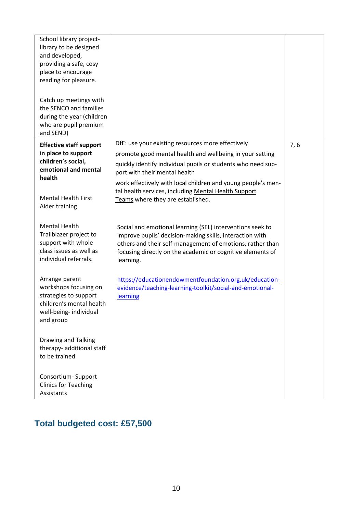| School library project-<br>library to be designed<br>and developed,<br>providing a safe, cosy<br>place to encourage<br>reading for pleasure. |                                                                                                                                                                                                                                                               |     |
|----------------------------------------------------------------------------------------------------------------------------------------------|---------------------------------------------------------------------------------------------------------------------------------------------------------------------------------------------------------------------------------------------------------------|-----|
| Catch up meetings with<br>the SENCO and families<br>during the year (children<br>who are pupil premium<br>and SEND)                          |                                                                                                                                                                                                                                                               |     |
| <b>Effective staff support</b>                                                                                                               | DfE: use your existing resources more effectively                                                                                                                                                                                                             | 7,6 |
| in place to support<br>children's social,<br>emotional and mental                                                                            | promote good mental health and wellbeing in your setting<br>quickly identify individual pupils or students who need sup-<br>port with their mental health                                                                                                     |     |
| health<br><b>Mental Health First</b><br>Aider training                                                                                       | work effectively with local children and young people's men-<br>tal health services, including Mental Health Support<br>Teams where they are established.                                                                                                     |     |
| <b>Mental Health</b><br>Trailblazer project to<br>support with whole<br>class issues as well as<br>individual referrals.                     | Social and emotional learning (SEL) interventions seek to<br>improve pupils' decision-making skills, interaction with<br>others and their self-management of emotions, rather than<br>focusing directly on the academic or cognitive elements of<br>learning. |     |
| Arrange parent<br>workshops focusing on<br>strategies to support<br>children's mental health<br>well-being- individual<br>and group          | https://educationendowmentfoundation.org.uk/education-<br>evidence/teaching-learning-toolkit/social-and-emotional-<br>learning                                                                                                                                |     |
| Drawing and Talking<br>therapy- additional staff<br>to be trained                                                                            |                                                                                                                                                                                                                                                               |     |
| Consortium-Support<br><b>Clinics for Teaching</b><br>Assistants                                                                              |                                                                                                                                                                                                                                                               |     |

# **Total budgeted cost: £57,500**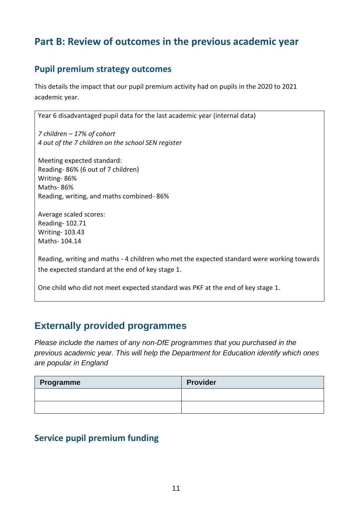## **Part B: Review of outcomes in the previous academic year**

## **Pupil premium strategy outcomes**

This details the impact that our pupil premium activity had on pupils in the 2020 to 2021 academic year.

Year 6 disadvantaged pupil data for the last academic year (internal data)

*7 children – 17% of cohort 4 out of the 7 children on the school SEN register*

Meeting expected standard: Reading- 86% (6 out of 7 children) Writing- 86% Maths- 86% Reading, writing, and maths combined- 86%

Average scaled scores: Reading- 102.71 Writing- 103.43 Maths- 104.14

Reading, writing and maths - 4 children who met the expected standard were working towards the expected standard at the end of key stage 1.

One child who did not meet expected standard was PKF at the end of key stage 1.

## **Externally provided programmes**

*Please include the names of any non-DfE programmes that you purchased in the previous academic year. This will help the Department for Education identify which ones are popular in England*

| Programme | <b>Provider</b> |
|-----------|-----------------|
|           |                 |
|           |                 |

### **Service pupil premium funding**